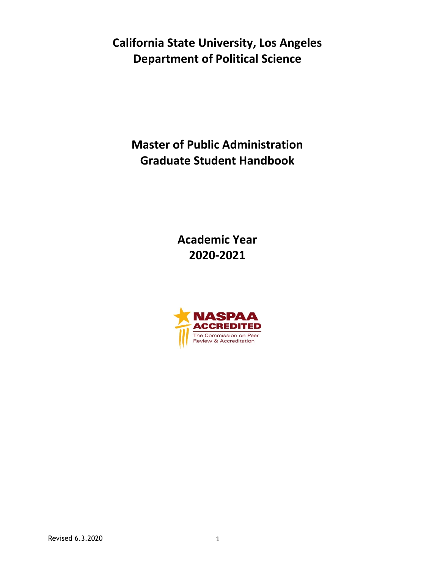**California State University, Los Angeles Department of Political Science**

**Master of Public Administration Graduate Student Handbook**

> **Academic Year 2020-2021**

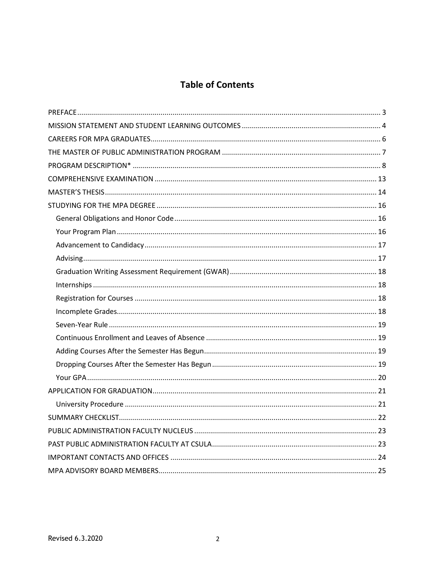# **Table of Contents**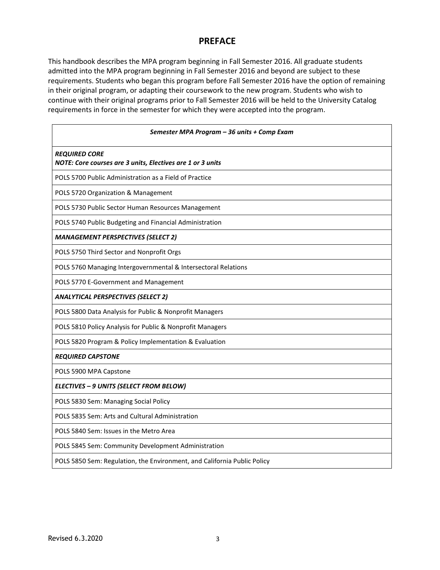## **PREFACE**

This handbook describes the MPA program beginning in Fall Semester 2016. All graduate students admitted into the MPA program beginning in Fall Semester 2016 and beyond are subject to these requirements. Students who began this program before Fall Semester 2016 have the option of remaining in their original program, or adapting their coursework to the new program. Students who wish to continue with their original programs prior to Fall Semester 2016 will be held to the University Catalog requirements in force in the semester for which they were accepted into the program.

| Semester MPA Program - 36 units + Comp Exam                                        |  |  |  |  |  |
|------------------------------------------------------------------------------------|--|--|--|--|--|
| <b>REQUIRED CORE</b><br>NOTE: Core courses are 3 units, Electives are 1 or 3 units |  |  |  |  |  |
| POLS 5700 Public Administration as a Field of Practice                             |  |  |  |  |  |
| POLS 5720 Organization & Management                                                |  |  |  |  |  |
| POLS 5730 Public Sector Human Resources Management                                 |  |  |  |  |  |
| POLS 5740 Public Budgeting and Financial Administration                            |  |  |  |  |  |
| <b>MANAGEMENT PERSPECTIVES (SELECT 2)</b>                                          |  |  |  |  |  |
| POLS 5750 Third Sector and Nonprofit Orgs                                          |  |  |  |  |  |
| POLS 5760 Managing Intergovernmental & Intersectoral Relations                     |  |  |  |  |  |
| POLS 5770 E-Government and Management                                              |  |  |  |  |  |
| <b>ANALYTICAL PERSPECTIVES (SELECT 2)</b>                                          |  |  |  |  |  |
| POLS 5800 Data Analysis for Public & Nonprofit Managers                            |  |  |  |  |  |
| POLS 5810 Policy Analysis for Public & Nonprofit Managers                          |  |  |  |  |  |
| POLS 5820 Program & Policy Implementation & Evaluation                             |  |  |  |  |  |
| <b>REQUIRED CAPSTONE</b>                                                           |  |  |  |  |  |
| POLS 5900 MPA Capstone                                                             |  |  |  |  |  |
| ELECTIVES - 9 UNITS (SELECT FROM BELOW)                                            |  |  |  |  |  |
| POLS 5830 Sem: Managing Social Policy                                              |  |  |  |  |  |
| POLS 5835 Sem: Arts and Cultural Administration                                    |  |  |  |  |  |
| POLS 5840 Sem: Issues in the Metro Area                                            |  |  |  |  |  |
| POLS 5845 Sem: Community Development Administration                                |  |  |  |  |  |
| POLS 5850 Sem: Regulation, the Environment, and California Public Policy           |  |  |  |  |  |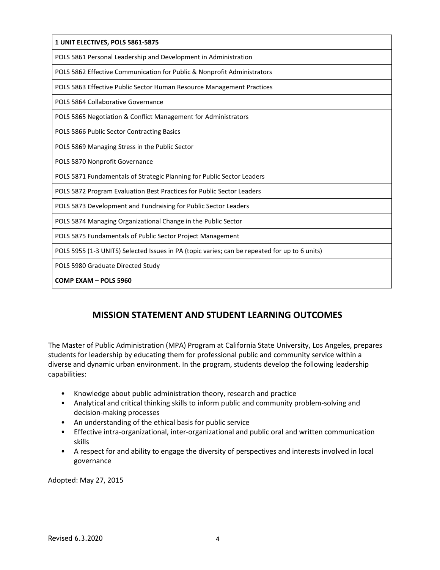| 1 UNIT ELECTIVES, POLS 5861-5875                                                              |
|-----------------------------------------------------------------------------------------------|
| POLS 5861 Personal Leadership and Development in Administration                               |
| POLS 5862 Effective Communication for Public & Nonprofit Administrators                       |
| POLS 5863 Effective Public Sector Human Resource Management Practices                         |
| POLS 5864 Collaborative Governance                                                            |
| POLS 5865 Negotiation & Conflict Management for Administrators                                |
| POLS 5866 Public Sector Contracting Basics                                                    |
| POLS 5869 Managing Stress in the Public Sector                                                |
| POLS 5870 Nonprofit Governance                                                                |
| POLS 5871 Fundamentals of Strategic Planning for Public Sector Leaders                        |
| POLS 5872 Program Evaluation Best Practices for Public Sector Leaders                         |
| POLS 5873 Development and Fundraising for Public Sector Leaders                               |
| POLS 5874 Managing Organizational Change in the Public Sector                                 |
| POLS 5875 Fundamentals of Public Sector Project Management                                    |
| POLS 5955 (1-3 UNITS) Selected Issues in PA (topic varies; can be repeated for up to 6 units) |
| POLS 5980 Graduate Directed Study                                                             |
| COMP EXAM - POLS 5960                                                                         |

# **MISSION STATEMENT AND STUDENT LEARNING OUTCOMES**

The Master of Public Administration (MPA) Program at California State University, Los Angeles, prepares students for leadership by educating them for professional public and community service within a diverse and dynamic urban environment. In the program, students develop the following leadership capabilities:

- Knowledge about public administration theory, research and practice
- Analytical and critical thinking skills to inform public and community problem-solving and decision-making processes
- An understanding of the ethical basis for public service
- Effective intra-organizational, inter-organizational and public oral and written communication skills
- A respect for and ability to engage the diversity of perspectives and interests involved in local governance

Adopted: May 27, 2015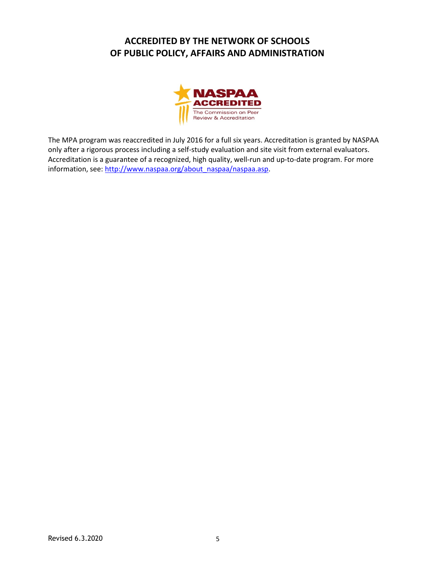# **ACCREDITED BY THE NETWORK OF SCHOOLS OF PUBLIC POLICY, AFFAIRS AND ADMINISTRATION**



The MPA program was reaccredited in July 2016 for a full six years. Accreditation is granted by NASPAA only after a rigorous process including a self-study evaluation and site visit from external evaluators. Accreditation is a guarantee of a recognized, high quality, well-run and up-to-date program. For more information, see: [http://www.naspaa.org/about\\_naspaa/naspaa.asp.](http://www.naspaa.org/about_naspaa/naspaa.asp)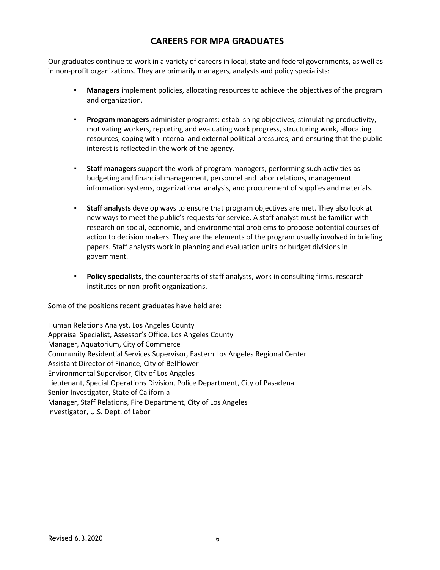# **CAREERS FOR MPA GRADUATES**

Our graduates continue to work in a variety of careers in local, state and federal governments, as well as in non-profit organizations. They are primarily managers, analysts and policy specialists:

- **Managers** implement policies, allocating resources to achieve the objectives of the program and organization.
- **▪ Program managers** administer programs: establishing objectives, stimulating productivity, motivating workers, reporting and evaluating work progress, structuring work, allocating resources, coping with internal and external political pressures, and ensuring that the public interest is reflected in the work of the agency.
- **▪ Staff managers** support the work of program managers, performing such activities as budgeting and financial management, personnel and labor relations, management information systems, organizational analysis, and procurement of supplies and materials.
- **▪ Staff analysts** develop ways to ensure that program objectives are met. They also look at new ways to meet the public's requests for service. A staff analyst must be familiar with research on social, economic, and environmental problems to propose potential courses of action to decision makers. They are the elements of the program usually involved in briefing papers. Staff analysts work in planning and evaluation units or budget divisions in government.
- **▪ Policy specialists**, the counterparts of staff analysts, work in consulting firms, research institutes or non-profit organizations.

Some of the positions recent graduates have held are:

Human Relations Analyst, Los Angeles County Appraisal Specialist, Assessor's Office, Los Angeles County Manager, Aquatorium, City of Commerce Community Residential Services Supervisor, Eastern Los Angeles Regional Center Assistant Director of Finance, City of Bellflower Environmental Supervisor, City of Los Angeles Lieutenant, Special Operations Division, Police Department, City of Pasadena Senior Investigator, State of California Manager, Staff Relations, Fire Department, City of Los Angeles Investigator, U.S. Dept. of Labor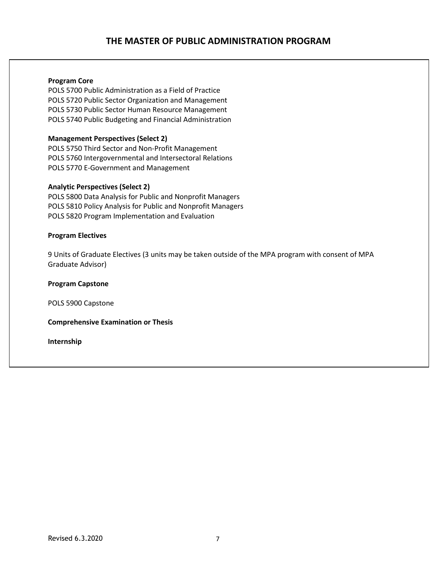# **THE MASTER OF PUBLIC ADMINISTRATION PROGRAM**

#### **Program Core**

POLS 5700 Public Administration as a Field of Practice POLS 5720 Public Sector Organization and Management POLS 5730 Public Sector Human Resource Management POLS 5740 Public Budgeting and Financial Administration

#### **Management Perspectives (Select 2)**

POLS 5750 Third Sector and Non-Profit Management POLS 5760 Intergovernmental and Intersectoral Relations POLS 5770 E-Government and Management

#### **Analytic Perspectives (Select 2)**

POLS 5800 Data Analysis for Public and Nonprofit Managers POLS 5810 Policy Analysis for Public and Nonprofit Managers POLS 5820 Program Implementation and Evaluation

#### **Program Electives**

9 Units of Graduate Electives (3 units may be taken outside of the MPA program with consent of MPA Graduate Advisor)

**Program Capstone**

POLS 5900 Capstone

**Comprehensive Examination or Thesis**

**Internship**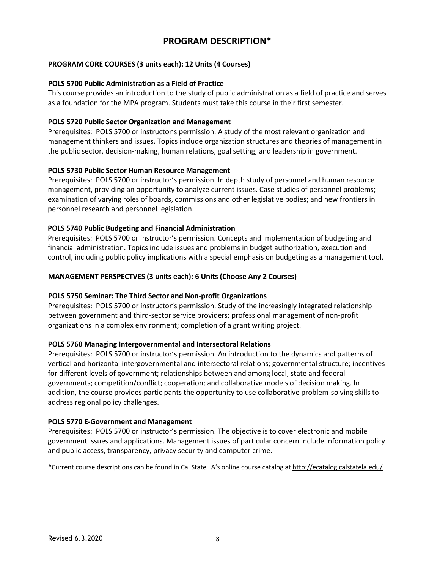## **PROGRAM DESCRIPTION\***

#### **PROGRAM CORE COURSES (3 units each): 12 Units (4 Courses)**

#### **POLS 5700 Public Administration as a Field of Practice**

This course provides an introduction to the study of public administration as a field of practice and serves as a foundation for the MPA program. Students must take this course in their first semester.

#### **POLS 5720 Public Sector Organization and Management**

Prerequisites: POLS 5700 or instructor's permission. A study of the most relevant organization and management thinkers and issues. Topics include organization structures and theories of management in the public sector, decision-making, human relations, goal setting, and leadership in government.

#### **POLS 5730 Public Sector Human Resource Management**

Prerequisites: POLS 5700 or instructor's permission. In depth study of personnel and human resource management, providing an opportunity to analyze current issues. Case studies of personnel problems; examination of varying roles of boards, commissions and other legislative bodies; and new frontiers in personnel research and personnel legislation.

#### **POLS 5740 Public Budgeting and Financial Administration**

Prerequisites: POLS 5700 or instructor's permission. Concepts and implementation of budgeting and financial administration. Topics include issues and problems in budget authorization, execution and control, including public policy implications with a special emphasis on budgeting as a management tool.

#### **MANAGEMENT PERSPECTVES (3 units each): 6 Units (Choose Any 2 Courses)**

#### **POLS 5750 Seminar: The Third Sector and Non-profit Organizations**

Prerequisites: POLS 5700 or instructor's permission. Study of the increasingly integrated relationship between government and third-sector service providers; professional management of non-profit organizations in a complex environment; completion of a grant writing project.

#### **POLS 5760 Managing Intergovernmental and Intersectoral Relations**

Prerequisites: POLS 5700 or instructor's permission. An introduction to the dynamics and patterns of vertical and horizontal intergovernmental and intersectoral relations; governmental structure; incentives for different levels of government; relationships between and among local, state and federal governments; competition/conflict; cooperation; and collaborative models of decision making. In addition, the course provides participants the opportunity to use collaborative problem-solving skills to address regional policy challenges.

#### **POLS 5770 E-Government and Management**

Prerequisites: POLS 5700 or instructor's permission. The objective is to cover electronic and mobile government issues and applications. Management issues of particular concern include information policy and public access, transparency, privacy security and computer crime.

**\***Current course descriptions can be found in Cal State LA's online course catalog at <http://ecatalog.calstatela.edu/>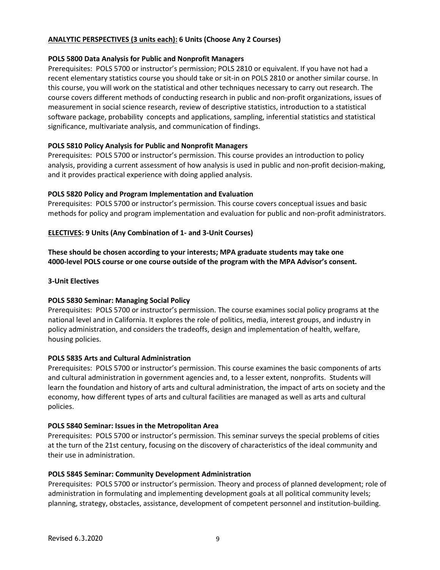#### **ANALYTIC PERSPECTIVES (3 units each): 6 Units (Choose Any 2 Courses)**

#### **POLS 5800 Data Analysis for Public and Nonprofit Managers**

Prerequisites: POLS 5700 or instructor's permission; POLS 2810 or equivalent. If you have not had a recent elementary statistics course you should take or sit-in on POLS 2810 or another similar course. In this course, you will work on the statistical and other techniques necessary to carry out research. The course covers different methods of conducting research in public and non-profit organizations, issues of measurement in social science research, review of descriptive statistics, introduction to a statistical software package, probability concepts and applications, sampling, inferential statistics and statistical significance, multivariate analysis, and communication of findings.

#### **POLS 5810 Policy Analysis for Public and Nonprofit Managers**

Prerequisites: POLS 5700 or instructor's permission. This course provides an introduction to policy analysis, providing a current assessment of how analysis is used in public and non-profit decision-making, and it provides practical experience with doing applied analysis.

### **POLS 5820 Policy and Program Implementation and Evaluation**

Prerequisites: POLS 5700 or instructor's permission. This course covers conceptual issues and basic methods for policy and program implementation and evaluation for public and non-profit administrators.

### **ELECTIVES: 9 Units (Any Combination of 1- and 3-Unit Courses)**

**These should be chosen according to your interests; MPA graduate students may take one 4000-level POLS course or one course outside of the program with the MPA Advisor's consent.**

#### **3-Unit Electives**

#### **POLS 5830 Seminar: Managing Social Policy**

Prerequisites: POLS 5700 or instructor's permission. The course examines social policy programs at the national level and in California. It explores the role of politics, media, interest groups, and industry in policy administration, and considers the tradeoffs, design and implementation of health, welfare, housing policies.

#### **POLS 5835 Arts and Cultural Administration**

Prerequisites: POLS 5700 or instructor's permission. This course examines the basic components of arts and cultural administration in government agencies and, to a lesser extent, nonprofits. Students will learn the foundation and history of arts and cultural administration, the impact of arts on society and the economy, how different types of arts and cultural facilities are managed as well as arts and cultural policies.

#### **POLS 5840 Seminar: Issues in the Metropolitan Area**

Prerequisites: POLS 5700 or instructor's permission. This seminar surveys the special problems of cities at the turn of the 21st century, focusing on the discovery of characteristics of the ideal community and their use in administration.

#### **POLS 5845 Seminar: Community Development Administration**

Prerequisites: POLS 5700 or instructor's permission. Theory and process of planned development; role of administration in formulating and implementing development goals at all political community levels; planning, strategy, obstacles, assistance, development of competent personnel and institution-building.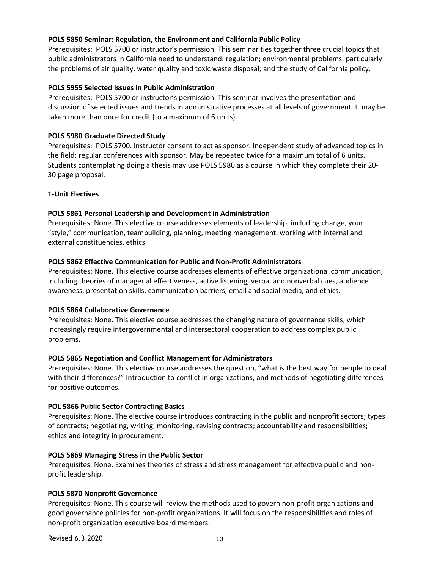#### **POLS 5850 Seminar: Regulation, the Environment and California Public Policy**

Prerequisites: POLS 5700 or instructor's permission. This seminar ties together three crucial topics that public administrators in California need to understand: regulation; environmental problems, particularly the problems of air quality, water quality and toxic waste disposal; and the study of California policy.

#### **POLS 5955 Selected Issues in Public Administration**

Prerequisites: POLS 5700 or instructor's permission. This seminar involves the presentation and discussion of selected issues and trends in administrative processes at all levels of government. It may be taken more than once for credit (to a maximum of 6 units).

#### **POLS 5980 Graduate Directed Study**

Prerequisites: POLS 5700. Instructor consent to act as sponsor. Independent study of advanced topics in the field; regular conferences with sponsor. May be repeated twice for a maximum total of 6 units. Students contemplating doing a thesis may use POLS 5980 as a course in which they complete their 20- 30 page proposal.

### **1-Unit Electives**

### **POLS 5861 Personal Leadership and Development in Administration**

Prerequisites: None. This elective course addresses elements of leadership, including change, your "style," communication, teambuilding, planning, meeting management, working with internal and external constituencies, ethics.

### **POLS 5862 Effective Communication for Public and Non-Profit Administrators**

Prerequisites: None. This elective course addresses elements of effective organizational communication, including theories of managerial effectiveness, active listening, verbal and nonverbal cues, audience awareness, presentation skills, communication barriers, email and social media, and ethics.

#### **POLS 5864 Collaborative Governance**

Prerequisites: None. This elective course addresses the changing nature of governance skills, which increasingly require intergovernmental and intersectoral cooperation to address complex public problems.

#### **POLS 5865 Negotiation and Conflict Management for Administrators**

Prerequisites: None. This elective course addresses the question, "what is the best way for people to deal with their differences?" Introduction to conflict in organizations, and methods of negotiating differences for positive outcomes.

#### **POL 5866 Public Sector Contracting Basics**

Prerequisites: None. The elective course introduces contracting in the public and nonprofit sectors; types of contracts; negotiating, writing, monitoring, revising contracts; accountability and responsibilities; ethics and integrity in procurement.

#### **POLS 5869 Managing Stress in the Public Sector**

Prerequisites: None. Examines theories of stress and stress management for effective public and nonprofit leadership.

#### **POLS 5870 Nonprofit Governance**

Prerequisites: None. This course will review the methods used to govern non-profit organizations and good governance policies for non-profit organizations. It will focus on the responsibilities and roles of non-profit organization executive board members.

Revised 6.3.2020 10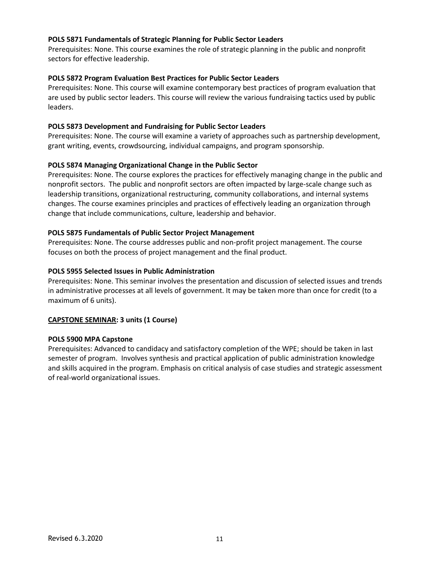#### **POLS 5871 Fundamentals of Strategic Planning for Public Sector Leaders**

Prerequisites: None. This course examines the role of strategic planning in the public and nonprofit sectors for effective leadership.

#### **POLS 5872 Program Evaluation Best Practices for Public Sector Leaders**

Prerequisites: None. This course will examine contemporary best practices of program evaluation that are used by public sector leaders. This course will review the various fundraising tactics used by public leaders.

#### **POLS 5873 Development and Fundraising for Public Sector Leaders**

Prerequisites: None. The course will examine a variety of approaches such as partnership development, grant writing, events, crowdsourcing, individual campaigns, and program sponsorship.

### **POLS 5874 Managing Organizational Change in the Public Sector**

Prerequisites: None. The course explores the practices for effectively managing change in the public and nonprofit sectors. The public and nonprofit sectors are often impacted by large-scale change such as leadership transitions, organizational restructuring, community collaborations, and internal systems changes. The course examines principles and practices of effectively leading an organization through change that include communications, culture, leadership and behavior.

#### **POLS 5875 Fundamentals of Public Sector Project Management**

Prerequisites: None. The course addresses public and non-profit project management. The course focuses on both the process of project management and the final product.

#### **POLS 5955 Selected Issues in Public Administration**

Prerequisites: None. This seminar involves the presentation and discussion of selected issues and trends in administrative processes at all levels of government. It may be taken more than once for credit (to a maximum of 6 units).

### **CAPSTONE SEMINAR: 3 units (1 Course)**

#### **POLS 5900 MPA Capstone**

Prerequisites: Advanced to candidacy and satisfactory completion of the WPE; should be taken in last semester of program. Involves synthesis and practical application of public administration knowledge and skills acquired in the program. Emphasis on critical analysis of case studies and strategic assessment of real-world organizational issues.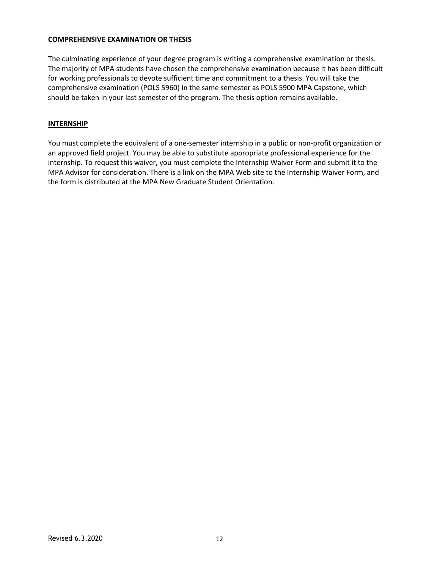#### **COMPREHENSIVE EXAMINATION OR THESIS**

The culminating experience of your degree program is writing a comprehensive examination or thesis. The majority of MPA students have chosen the comprehensive examination because it has been difficult for working professionals to devote sufficient time and commitment to a thesis. You will take the comprehensive examination (POLS 5960) in the same semester as POLS 5900 MPA Capstone, which should be taken in your last semester of the program. The thesis option remains available.

#### **INTERNSHIP**

You must complete the equivalent of a one-semester internship in a public or non-profit organization or an approved field project. You may be able to substitute appropriate professional experience for the internship. To request this waiver, you must complete the Internship Waiver Form and submit it to the MPA Advisor for consideration. There is a link on the MPA Web site to the Internship Waiver Form, and the form is distributed at the MPA New Graduate Student Orientation.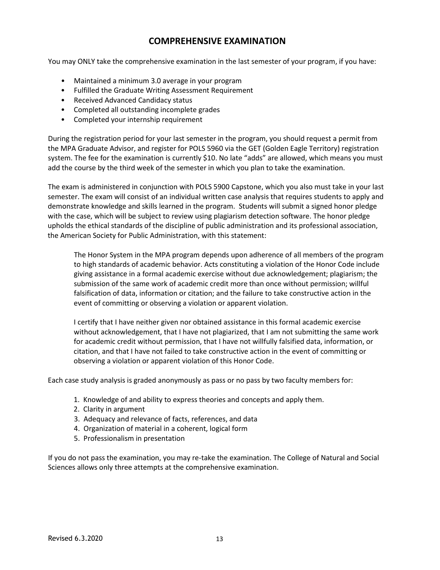# **COMPREHENSIVE EXAMINATION**

You may ONLY take the comprehensive examination in the last semester of your program, if you have:

- Maintained a minimum 3.0 average in your program
- Fulfilled the Graduate Writing Assessment Requirement
- Received Advanced Candidacy status
- Completed all outstanding incomplete grades
- Completed your internship requirement

During the registration period for your last semester in the program, you should request a permit from the MPA Graduate Advisor, and register for POLS 5960 via the GET (Golden Eagle Territory) registration system. The fee for the examination is currently \$10. No late "adds" are allowed, which means you must add the course by the third week of the semester in which you plan to take the examination.

The exam is administered in conjunction with POLS 5900 Capstone, which you also must take in your last semester. The exam will consist of an individual written case analysis that requires students to apply and demonstrate knowledge and skills learned in the program. Students will submit a signed honor pledge with the case, which will be subject to review using plagiarism detection software. The honor pledge upholds the ethical standards of the discipline of public administration and its professional association, the American Society for Public Administration, with this statement:

The Honor System in the MPA program depends upon adherence of all members of the program to high standards of academic behavior. Acts constituting a violation of the Honor Code include giving assistance in a formal academic exercise without due acknowledgement; plagiarism; the submission of the same work of academic credit more than once without permission; willful falsification of data, information or citation; and the failure to take constructive action in the event of committing or observing a violation or apparent violation.

I certify that I have neither given nor obtained assistance in this formal academic exercise without acknowledgement, that I have not plagiarized, that I am not submitting the same work for academic credit without permission, that I have not willfully falsified data, information, or citation, and that I have not failed to take constructive action in the event of committing or observing a violation or apparent violation of this Honor Code.

Each case study analysis is graded anonymously as pass or no pass by two faculty members for:

- 1. Knowledge of and ability to express theories and concepts and apply them.
- 2. Clarity in argument
- 3. Adequacy and relevance of facts, references, and data
- 4. Organization of material in a coherent, logical form
- 5. Professionalism in presentation

If you do not pass the examination, you may re-take the examination. The College of Natural and Social Sciences allows only three attempts at the comprehensive examination.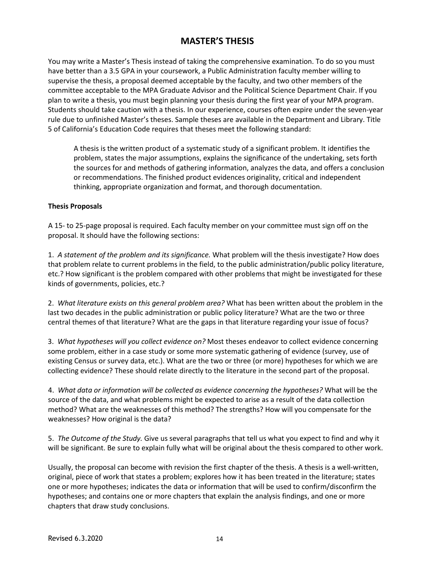# **MASTER'S THESIS**

You may write a Master's Thesis instead of taking the comprehensive examination. To do so you must have better than a 3.5 GPA in your coursework, a Public Administration faculty member willing to supervise the thesis, a proposal deemed acceptable by the faculty, and two other members of the committee acceptable to the MPA Graduate Advisor and the Political Science Department Chair. If you plan to write a thesis, you must begin planning your thesis during the first year of your MPA program. Students should take caution with a thesis. In our experience, courses often expire under the seven-year rule due to unfinished Master's theses. Sample theses are available in the Department and Library. Title 5 of California's Education Code requires that theses meet the following standard:

A thesis is the written product of a systematic study of a significant problem. It identifies the problem, states the major assumptions, explains the significance of the undertaking, sets forth the sources for and methods of gathering information, analyzes the data, and offers a conclusion or recommendations. The finished product evidences originality, critical and independent thinking, appropriate organization and format, and thorough documentation.

#### **Thesis Proposals**

A 15- to 25-page proposal is required. Each faculty member on your committee must sign off on the proposal. It should have the following sections:

1. *A statement of the problem and its significance.* What problem will the thesis investigate? How does that problem relate to current problems in the field, to the public administration/public policy literature, etc.? How significant is the problem compared with other problems that might be investigated for these kinds of governments, policies, etc.?

2. *What literature exists on this general problem area?* What has been written about the problem in the last two decades in the public administration or public policy literature? What are the two or three central themes of that literature? What are the gaps in that literature regarding your issue of focus?

3. *What hypotheses will you collect evidence on?* Most theses endeavor to collect evidence concerning some problem, either in a case study or some more systematic gathering of evidence (survey, use of existing Census or survey data, etc.). What are the two or three (or more) hypotheses for which we are collecting evidence? These should relate directly to the literature in the second part of the proposal.

4. *What data or information will be collected as evidence concerning the hypotheses?* What will be the source of the data, and what problems might be expected to arise as a result of the data collection method? What are the weaknesses of this method? The strengths? How will you compensate for the weaknesses? How original is the data?

5. *The Outcome of the Study.* Give us several paragraphs that tell us what you expect to find and why it will be significant. Be sure to explain fully what will be original about the thesis compared to other work.

Usually, the proposal can become with revision the first chapter of the thesis. A thesis is a well-written, original, piece of work that states a problem; explores how it has been treated in the literature; states one or more hypotheses; indicates the data or information that will be used to confirm/disconfirm the hypotheses; and contains one or more chapters that explain the analysis findings, and one or more chapters that draw study conclusions.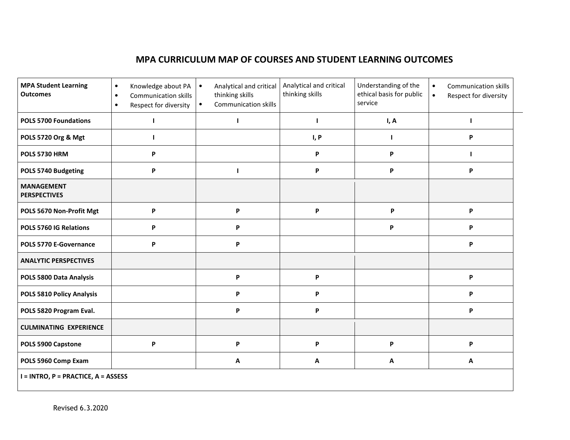# **MPA CURRICULUM MAP OF COURSES AND STUDENT LEARNING OUTCOMES**

| <b>MPA Student Learning</b><br><b>Outcomes</b> | Knowledge about PA<br>$\bullet$<br><b>Communication skills</b><br>$\bullet$<br>Respect for diversity<br>$\bullet$ | Analytical and critical<br>$\bullet$<br>thinking skills<br><b>Communication skills</b><br>$\bullet$ | Analytical and critical<br>thinking skills | Understanding of the<br>ethical basis for public<br>service | <b>Communication skills</b><br>$\bullet$<br>Respect for diversity<br>$\bullet$ |  |
|------------------------------------------------|-------------------------------------------------------------------------------------------------------------------|-----------------------------------------------------------------------------------------------------|--------------------------------------------|-------------------------------------------------------------|--------------------------------------------------------------------------------|--|
| <b>POLS 5700 Foundations</b>                   |                                                                                                                   |                                                                                                     | H                                          | I, A                                                        |                                                                                |  |
| POLS 5720 Org & Mgt                            |                                                                                                                   |                                                                                                     | I, P                                       | ı                                                           | P                                                                              |  |
| POLS 5730 HRM                                  | P                                                                                                                 |                                                                                                     | P                                          | P                                                           |                                                                                |  |
| POLS 5740 Budgeting                            | P                                                                                                                 |                                                                                                     | P                                          | P                                                           | P                                                                              |  |
| <b>MANAGEMENT</b><br><b>PERSPECTIVES</b>       |                                                                                                                   |                                                                                                     |                                            |                                                             |                                                                                |  |
| POLS 5670 Non-Profit Mgt                       | P                                                                                                                 | P                                                                                                   | P                                          | P                                                           | P                                                                              |  |
| POLS 5760 IG Relations                         | P                                                                                                                 | P                                                                                                   |                                            | P                                                           | P                                                                              |  |
| POLS 5770 E-Governance                         | P                                                                                                                 | P                                                                                                   |                                            |                                                             | P                                                                              |  |
| <b>ANALYTIC PERSPECTIVES</b>                   |                                                                                                                   |                                                                                                     |                                            |                                                             |                                                                                |  |
| POLS 5800 Data Analysis                        |                                                                                                                   | P                                                                                                   | P                                          |                                                             | P                                                                              |  |
| POLS 5810 Policy Analysis                      |                                                                                                                   | P                                                                                                   | P                                          |                                                             | P                                                                              |  |
| POLS 5820 Program Eval.                        |                                                                                                                   | P                                                                                                   | P                                          |                                                             | P                                                                              |  |
| <b>CULMINATING EXPERIENCE</b>                  |                                                                                                                   |                                                                                                     |                                            |                                                             |                                                                                |  |
| POLS 5900 Capstone                             | P                                                                                                                 | P                                                                                                   | P                                          | P                                                           | P                                                                              |  |
| POLS 5960 Comp Exam                            |                                                                                                                   | A                                                                                                   | Α                                          | Α                                                           | Α                                                                              |  |
| $I = INTRO$ , $P = PRACTICE$ , $A = ASSESS$    |                                                                                                                   |                                                                                                     |                                            |                                                             |                                                                                |  |

and the control of the control of the control of the control of the control of the control of the control of the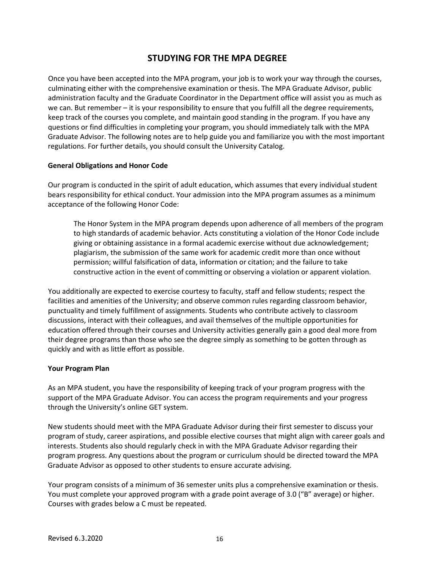# **STUDYING FOR THE MPA DEGREE**

Once you have been accepted into the MPA program, your job is to work your way through the courses, culminating either with the comprehensive examination or thesis. The MPA Graduate Advisor, public administration faculty and the Graduate Coordinator in the Department office will assist you as much as we can. But remember – it is your responsibility to ensure that you fulfill all the degree requirements, keep track of the courses you complete, and maintain good standing in the program. If you have any questions or find difficulties in completing your program, you should immediately talk with the MPA Graduate Advisor. The following notes are to help guide you and familiarize you with the most important regulations. For further details, you should consult the University Catalog.

### **General Obligations and Honor Code**

Our program is conducted in the spirit of adult education, which assumes that every individual student bears responsibility for ethical conduct. Your admission into the MPA program assumes as a minimum acceptance of the following Honor Code:

The Honor System in the MPA program depends upon adherence of all members of the program to high standards of academic behavior. Acts constituting a violation of the Honor Code include giving or obtaining assistance in a formal academic exercise without due acknowledgement; plagiarism, the submission of the same work for academic credit more than once without permission; willful falsification of data, information or citation; and the failure to take constructive action in the event of committing or observing a violation or apparent violation.

You additionally are expected to exercise courtesy to faculty, staff and fellow students; respect the facilities and amenities of the University; and observe common rules regarding classroom behavior, punctuality and timely fulfillment of assignments. Students who contribute actively to classroom discussions, interact with their colleagues, and avail themselves of the multiple opportunities for education offered through their courses and University activities generally gain a good deal more from their degree programs than those who see the degree simply as something to be gotten through as quickly and with as little effort as possible.

#### **Your Program Plan**

As an MPA student, you have the responsibility of keeping track of your program progress with the support of the MPA Graduate Advisor. You can access the program requirements and your progress through the University's online GET system.

New students should meet with the MPA Graduate Advisor during their first semester to discuss your program of study, career aspirations, and possible elective courses that might align with career goals and interests. Students also should regularly check in with the MPA Graduate Advisor regarding their program progress. Any questions about the program or curriculum should be directed toward the MPA Graduate Advisor as opposed to other students to ensure accurate advising.

Your program consists of a minimum of 36 semester units plus a comprehensive examination or thesis. You must complete your approved program with a grade point average of 3.0 ("B" average) or higher. Courses with grades below a C must be repeated.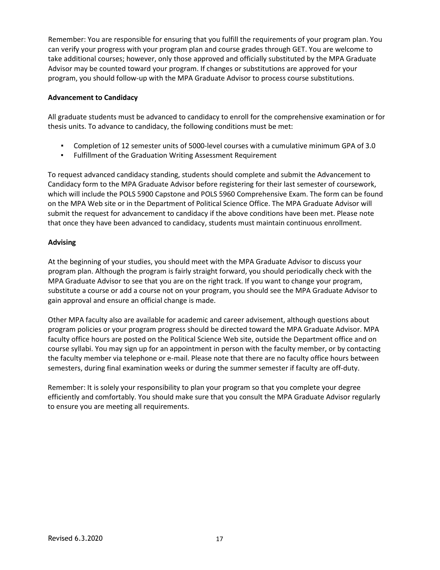Remember: You are responsible for ensuring that you fulfill the requirements of your program plan. You can verify your progress with your program plan and course grades through GET. You are welcome to take additional courses; however, only those approved and officially substituted by the MPA Graduate Advisor may be counted toward your program. If changes or substitutions are approved for your program, you should follow-up with the MPA Graduate Advisor to process course substitutions.

#### **Advancement to Candidacy**

All graduate students must be advanced to candidacy to enroll for the comprehensive examination or for thesis units. To advance to candidacy, the following conditions must be met:

- Completion of 12 semester units of 5000-level courses with a cumulative minimum GPA of 3.0
- Fulfillment of the Graduation Writing Assessment Requirement

To request advanced candidacy standing, students should complete and submit the Advancement to Candidacy form to the MPA Graduate Advisor before registering for their last semester of coursework, which will include the POLS 5900 Capstone and POLS 5960 Comprehensive Exam. The form can be found on the MPA Web site or in the Department of Political Science Office. The MPA Graduate Advisor will submit the request for advancement to candidacy if the above conditions have been met. Please note that once they have been advanced to candidacy, students must maintain continuous enrollment.

### **Advising**

At the beginning of your studies, you should meet with the MPA Graduate Advisor to discuss your program plan. Although the program is fairly straight forward, you should periodically check with the MPA Graduate Advisor to see that you are on the right track. If you want to change your program, substitute a course or add a course not on your program, you should see the MPA Graduate Advisor to gain approval and ensure an official change is made.

Other MPA faculty also are available for academic and career advisement, although questions about program policies or your program progress should be directed toward the MPA Graduate Advisor. MPA faculty office hours are posted on the Political Science Web site, outside the Department office and on course syllabi. You may sign up for an appointment in person with the faculty member, or by contacting the faculty member via telephone or e-mail. Please note that there are no faculty office hours between semesters, during final examination weeks or during the summer semester if faculty are off-duty.

Remember: It is solely your responsibility to plan your program so that you complete your degree efficiently and comfortably. You should make sure that you consult the MPA Graduate Advisor regularly to ensure you are meeting all requirements.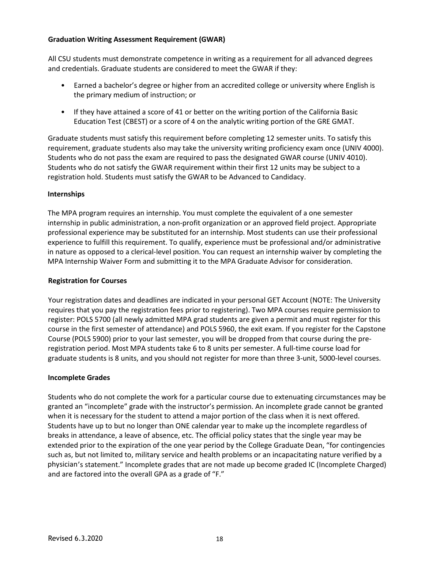### **Graduation Writing Assessment Requirement (GWAR)**

All CSU students must demonstrate competence in writing as a requirement for all advanced degrees and credentials. Graduate students are considered to meet the GWAR if they:

- Earned a bachelor's degree or higher from an accredited college or university where English is the primary medium of instruction; or
- If they have attained a score of 41 or better on the writing portion of the California Basic Education Test (CBEST) or a score of 4 on the analytic writing portion of the GRE GMAT.

Graduate students must satisfy this requirement before completing 12 semester units. To satisfy this requirement, graduate students also may take the university writing proficiency exam once (UNIV 4000). Students who do not pass the exam are required to pass the designated GWAR course (UNIV 4010). Students who do not satisfy the GWAR requirement within their first 12 units may be subject to a registration hold. Students must satisfy the GWAR to be Advanced to Candidacy.

### **Internships**

The MPA program requires an internship. You must complete the equivalent of a one semester internship in public administration, a non-profit organization or an approved field project. Appropriate professional experience may be substituted for an internship. Most students can use their professional experience to fulfill this requirement. To qualify, experience must be professional and/or administrative in nature as opposed to a clerical-level position. You can request an internship waiver by completing the MPA Internship Waiver Form and submitting it to the MPA Graduate Advisor for consideration.

### **Registration for Courses**

Your registration dates and deadlines are indicated in your personal GET Account (NOTE: The University requires that you pay the registration fees prior to registering). Two MPA courses require permission to register: POLS 5700 (all newly admitted MPA grad students are given a permit and must register for this course in the first semester of attendance) and POLS 5960, the exit exam. If you register for the Capstone Course (POLS 5900) prior to your last semester, you will be dropped from that course during the preregistration period. Most MPA students take 6 to 8 units per semester. A full-time course load for graduate students is 8 units, and you should not register for more than three 3-unit, 5000-level courses.

#### **Incomplete Grades**

Students who do not complete the work for a particular course due to extenuating circumstances may be granted an "incomplete" grade with the instructor's permission. An incomplete grade cannot be granted when it is necessary for the student to attend a major portion of the class when it is next offered. Students have up to but no longer than ONE calendar year to make up the incomplete regardless of breaks in attendance, a leave of absence, etc. The official policy states that the single year may be extended prior to the expiration of the one year period by the College Graduate Dean, "for contingencies such as, but not limited to, military service and health problems or an incapacitating nature verified by a physician's statement." Incomplete grades that are not made up become graded IC (Incomplete Charged) and are factored into the overall GPA as a grade of "F."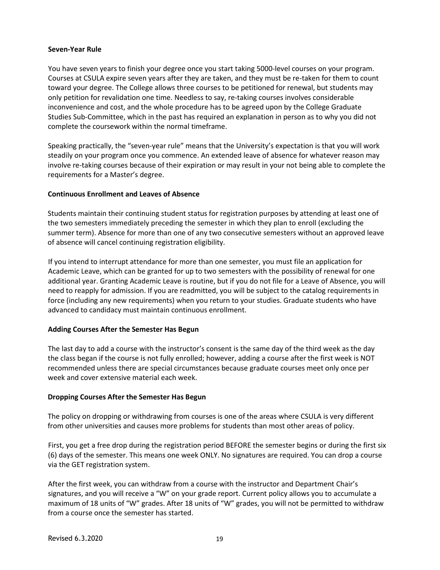#### **Seven-Year Rule**

You have seven years to finish your degree once you start taking 5000-level courses on your program. Courses at CSULA expire seven years after they are taken, and they must be re-taken for them to count toward your degree. The College allows three courses to be petitioned for renewal, but students may only petition for revalidation one time. Needless to say, re-taking courses involves considerable inconvenience and cost, and the whole procedure has to be agreed upon by the College Graduate Studies Sub-Committee, which in the past has required an explanation in person as to why you did not complete the coursework within the normal timeframe.

Speaking practically, the "seven-year rule" means that the University's expectation is that you will work steadily on your program once you commence. An extended leave of absence for whatever reason may involve re-taking courses because of their expiration or may result in your not being able to complete the requirements for a Master's degree.

#### **Continuous Enrollment and Leaves of Absence**

Students maintain their continuing student status for registration purposes by attending at least one of the two semesters immediately preceding the semester in which they plan to enroll (excluding the summer term). Absence for more than one of any two consecutive semesters without an approved leave of absence will cancel continuing registration eligibility.

If you intend to interrupt attendance for more than one semester, you must file an application for Academic Leave, which can be granted for up to two semesters with the possibility of renewal for one additional year. Granting Academic Leave is routine, but if you do not file for a Leave of Absence, you will need to reapply for admission. If you are readmitted, you will be subject to the catalog requirements in force (including any new requirements) when you return to your studies. Graduate students who have advanced to candidacy must maintain continuous enrollment.

#### **Adding Courses After the Semester Has Begun**

The last day to add a course with the instructor's consent is the same day of the third week as the day the class began if the course is not fully enrolled; however, adding a course after the first week is NOT recommended unless there are special circumstances because graduate courses meet only once per week and cover extensive material each week.

#### **Dropping Courses After the Semester Has Begun**

The policy on dropping or withdrawing from courses is one of the areas where CSULA is very different from other universities and causes more problems for students than most other areas of policy.

First, you get a free drop during the registration period BEFORE the semester begins or during the first six (6) days of the semester. This means one week ONLY. No signatures are required. You can drop a course via the GET registration system.

After the first week, you can withdraw from a course with the instructor and Department Chair's signatures, and you will receive a "W" on your grade report. Current policy allows you to accumulate a maximum of 18 units of "W" grades. After 18 units of "W" grades, you will not be permitted to withdraw from a course once the semester has started.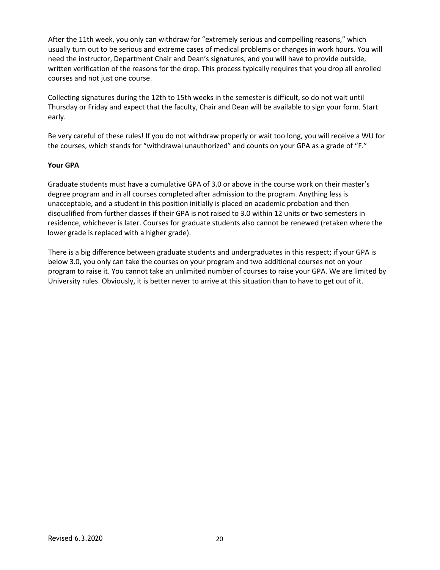After the 11th week, you only can withdraw for "extremely serious and compelling reasons," which usually turn out to be serious and extreme cases of medical problems or changes in work hours. You will need the instructor, Department Chair and Dean's signatures, and you will have to provide outside, written verification of the reasons for the drop. This process typically requires that you drop all enrolled courses and not just one course.

Collecting signatures during the 12th to 15th weeks in the semester is difficult, so do not wait until Thursday or Friday and expect that the faculty, Chair and Dean will be available to sign your form. Start early.

Be very careful of these rules! If you do not withdraw properly or wait too long, you will receive a WU for the courses, which stands for "withdrawal unauthorized" and counts on your GPA as a grade of "F."

### **Your GPA**

Graduate students must have a cumulative GPA of 3.0 or above in the course work on their master's degree program and in all courses completed after admission to the program. Anything less is unacceptable, and a student in this position initially is placed on academic probation and then disqualified from further classes if their GPA is not raised to 3.0 within 12 units or two semesters in residence, whichever is later. Courses for graduate students also cannot be renewed (retaken where the lower grade is replaced with a higher grade).

There is a big difference between graduate students and undergraduates in this respect; if your GPA is below 3.0, you only can take the courses on your program and two additional courses not on your program to raise it. You cannot take an unlimited number of courses to raise your GPA. We are limited by University rules. Obviously, it is better never to arrive at this situation than to have to get out of it.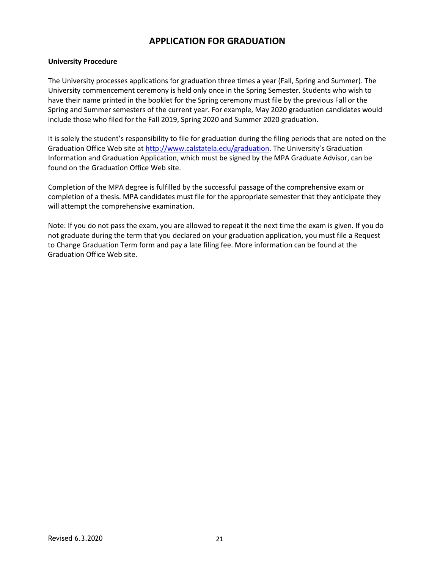# **APPLICATION FOR GRADUATION**

#### **University Procedure**

The University processes applications for graduation three times a year (Fall, Spring and Summer). The University commencement ceremony is held only once in the Spring Semester. Students who wish to have their name printed in the booklet for the Spring ceremony must file by the previous Fall or the Spring and Summer semesters of the current year. For example, May 2020 graduation candidates would include those who filed for the Fall 2019, Spring 2020 and Summer 2020 graduation.

It is solely the student's responsibility to file for graduation during the filing periods that are noted on the Graduation Office Web site at [http://www.calstatela.edu/graduation.](http://www.calstatela.edu/graduation) The University's Graduation Information and Graduation Application, which must be signed by the MPA Graduate Advisor, can be found on the Graduation Office Web site.

Completion of the MPA degree is fulfilled by the successful passage of the comprehensive exam or completion of a thesis. MPA candidates must file for the appropriate semester that they anticipate they will attempt the comprehensive examination.

Note: If you do not pass the exam, you are allowed to repeat it the next time the exam is given. If you do not graduate during the term that you declared on your graduation application, you must file a Request to Change Graduation Term form and pay a late filing fee. More information can be found at the Graduation Office Web site.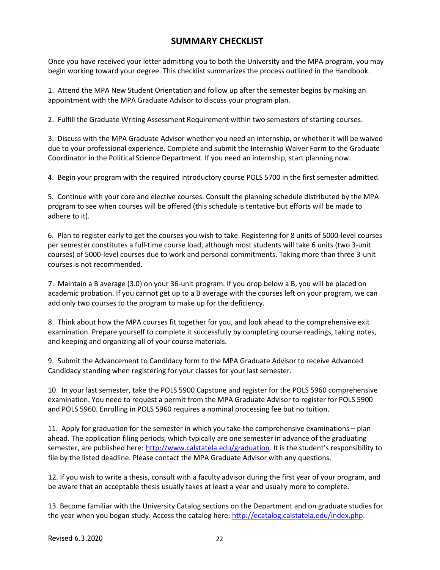# **SUMMARY CHECKLIST**

Once you have received your letter admitting you to both the University and the MPA program, you may begin working toward your degree. This checklist summarizes the process outlined in the Handbook.

1. Attend the MPA New Student Orientation and follow up after the semester begins by making an appointment with the MPA Graduate Advisor to discuss your program plan.

2. Fulfill the Graduate Writing Assessment Requirement within two semesters of starting courses.

3. Discuss with the MPA Graduate Advisor whether you need an internship, or whether it will be waived due to your professional experience. Complete and submit the Internship Waiver Form to the Graduate Coordinator in the Political Science Department. If you need an internship, start planning now.

4. Begin your program with the required introductory course POLS 5700 in the first semester admitted.

5. Continue with your core and elective courses. Consult the planning schedule distributed by the MPA program to see when courses will be offered (this schedule is tentative but efforts will be made to adhere to it).

6. Plan to register early to get the courses you wish to take. Registering for 8 units of 5000-level courses per semester constitutes a full-time course load, although most students will take 6 units (two 3-unit courses) of 5000-level courses due to work and personal commitments. Taking more than three 3-unit courses is not recommended.

7. Maintain a B average (3.0) on your 36-unit program. If you drop below a B, you will be placed on academic probation. If you cannot get up to a B average with the courses left on your program, we can add only two courses to the program to make up for the deficiency.

8. Think about how the MPA courses fit together for you, and look ahead to the comprehensive exit examination. Prepare yourself to complete it successfully by completing course readings, taking notes, and keeping and organizing all of your course materials.

9. Submit the Advancement to Candidacy form to the MPA Graduate Advisor to receive Advanced Candidacy standing when registering for your classes for your last semester.

10. In your last semester, take the POLS 5900 Capstone and register for the POLS 5960 comprehensive examination. You need to request a permit from the MPA Graduate Advisor to register for POLS 5900 and POLS 5960. Enrolling in POLS 5960 requires a nominal processing fee but no tuition.

11. Apply for graduation for the semester in which you take the comprehensive examinations – plan ahead. The application filing periods, which typically are one semester in advance of the graduating semester, are published here: [http://www.calstatela.edu/graduation.](http://www.calstatela.edu/graduation) It is the student's responsibility to file by the listed deadline. Please contact the MPA Graduate Advisor with any questions.

12. If you wish to write a thesis, consult with a faculty advisor during the first year of your program, and be aware that an acceptable thesis usually takes at least a year and usually more to complete.

13. Become familiar with the University Catalog sections on the Department and on graduate studies for the year when you began study. Access the catalog here: [http://ecatalog.calstatela.edu/index.php.](http://ecatalog.calstatela.edu/index.php)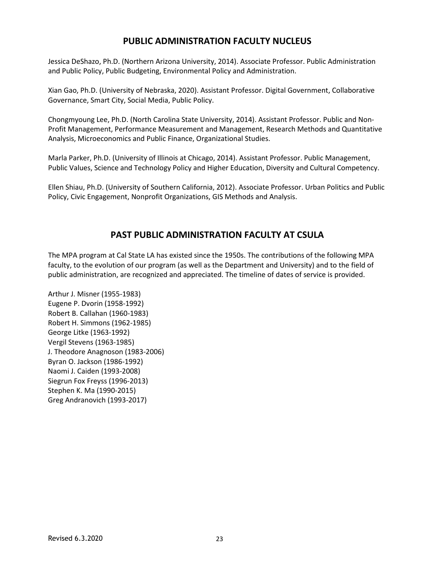# **PUBLIC ADMINISTRATION FACULTY NUCLEUS**

Jessica DeShazo, Ph.D. (Northern Arizona University, 2014). Associate Professor. Public Administration and Public Policy, Public Budgeting, Environmental Policy and Administration.

Xian Gao, Ph.D. (University of Nebraska, 2020). Assistant Professor. Digital Government, Collaborative Governance, Smart City, Social Media, Public Policy.

Chongmyoung Lee, Ph.D. (North Carolina State University, 2014). Assistant Professor. Public and Non-Profit Management, Performance Measurement and Management, Research Methods and Quantitative Analysis, Microeconomics and Public Finance, Organizational Studies.

Marla Parker, Ph.D. (University of Illinois at Chicago, 2014). Assistant Professor. Public Management, Public Values, Science and Technology Policy and Higher Education, Diversity and Cultural Competency.

Ellen Shiau, Ph.D. (University of Southern California, 2012). Associate Professor. Urban Politics and Public Policy, Civic Engagement, Nonprofit Organizations, GIS Methods and Analysis.

## **PAST PUBLIC ADMINISTRATION FACULTY AT CSULA**

The MPA program at Cal State LA has existed since the 1950s. The contributions of the following MPA faculty, to the evolution of our program (as well as the Department and University) and to the field of public administration, are recognized and appreciated. The timeline of dates of service is provided.

Arthur J. Misner (1955-1983) Eugene P. Dvorin (1958-1992) Robert B. Callahan (1960-1983) Robert H. Simmons (1962-1985) George Litke (1963-1992) Vergil Stevens (1963-1985) J. Theodore Anagnoson (1983-2006) Byran O. Jackson (1986-1992) Naomi J. Caiden (1993-2008) Siegrun Fox Freyss (1996-2013) Stephen K. Ma (1990-2015) Greg Andranovich (1993-2017)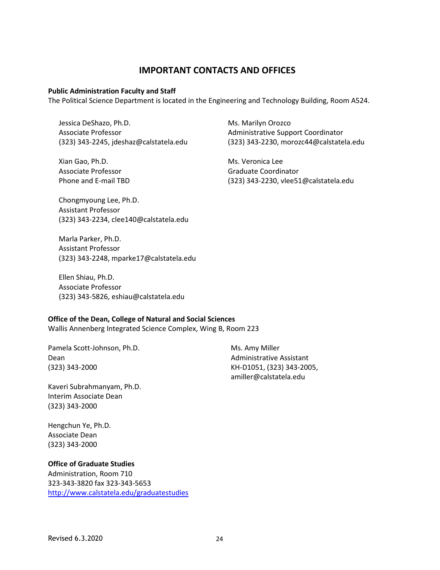### **IMPORTANT CONTACTS AND OFFICES**

#### **Public Administration Faculty and Staff**

The Political Science Department is located in the Engineering and Technology Building, Room A524.

Jessica DeShazo, Ph.D. Associate Professor (323) 343-2245, jdeshaz@calstatela.edu

Xian Gao, Ph.D. Associate Professor Phone and E-mail TBD Ms. Marilyn Orozco Administrative Support Coordinator (323) 343-2230, morozc44@calstatela.edu

Ms. Veronica Lee Graduate Coordinator (323) 343-2230, vlee51@calstatela.edu

Chongmyoung Lee, Ph.D. Assistant Professor (323) 343-2234, clee140@calstatela.edu

Marla Parker, Ph.D. Assistant Professor (323) 343-2248, mparke17@calstatela.edu

Ellen Shiau, Ph.D. Associate Professor (323) 343-5826, eshiau@calstatela.edu

#### **Office of the Dean, College of Natural and Social Sciences**

Wallis Annenberg Integrated Science Complex, Wing B, Room 223

Pamela Scott-Johnson, Ph.D. Dean (323) 343-2000

Kaveri Subrahmanyam, Ph.D. Interim Associate Dean (323) 343-2000

Hengchun Ye, Ph.D. Associate Dean (323) 343-2000

#### **Office of Graduate Studies**

Administration, Room 710 323-343-3820 fax 323-343-5653 <http://www.calstatela.edu/graduatestudies> Ms. Amy Miller Administrative Assistant KH-D1051, (323) 343-2005, amiller@calstatela.edu